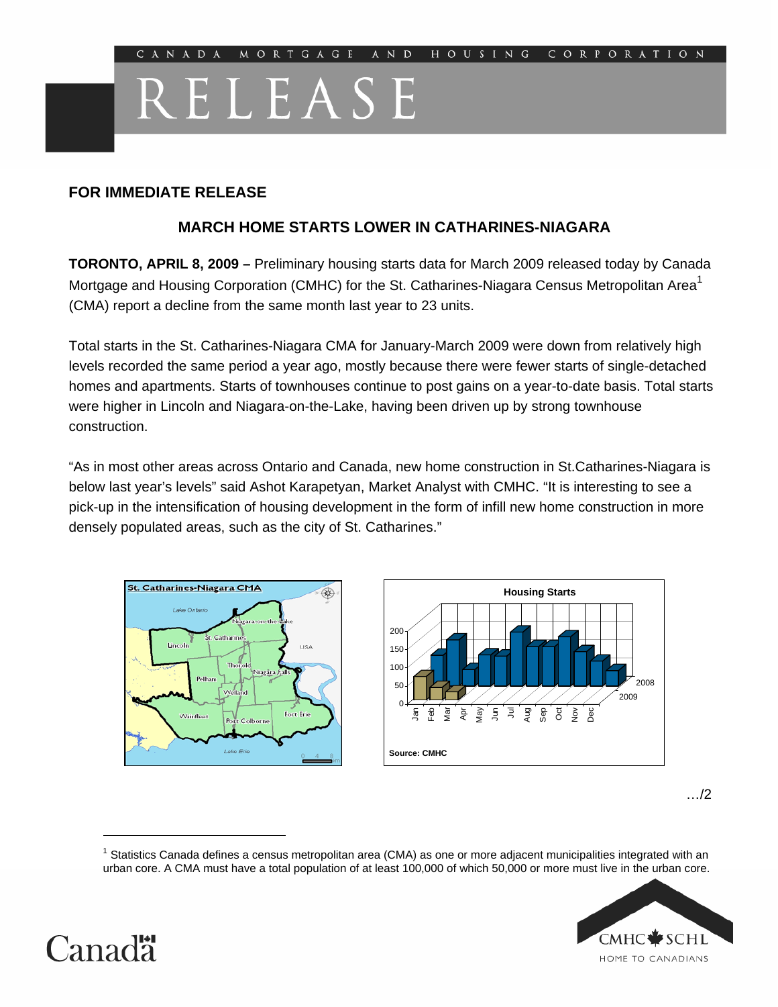# RELEASE

## **FOR IMMEDIATE RELEASE**

## **MARCH HOME STARTS LOWER IN CATHARINES-NIAGARA**

**TORONTO, APRIL 8, 2009 –** Preliminary housing starts data for March 2009 released today by Canada Mortgage and Housing Corporation (CMHC) for the St. Catharines-Niagara Census Metropolitan Area<sup>1</sup> (CMA) report a decline from the same month last year to 23 units.

Total starts in the St. Catharines-Niagara CMA for January-March 2009 were down from relatively high levels recorded the same period a year ago, mostly because there were fewer starts of single-detached homes and apartments. Starts of townhouses continue to post gains on a year-to-date basis. Total starts were higher in Lincoln and Niagara-on-the-Lake, having been driven up by strong townhouse construction.

"As in most other areas across Ontario and Canada, new home construction in St.Catharines-Niagara is below last year's levels" said Ashot Karapetyan, Market Analyst with CMHC. "It is interesting to see a pick-up in the intensification of housing development in the form of infill new home construction in more densely populated areas, such as the city of St. Catharines."





…/2

<sup>&</sup>lt;sup>1</sup> Statistics Canada defines a census metropolitan area (CMA) as one or more adjacent municipalities integrated with an urban core. A CMA must have a total population of at least 100,000 of which 50,000 or more must live in the urban core.





 $\overline{a}$